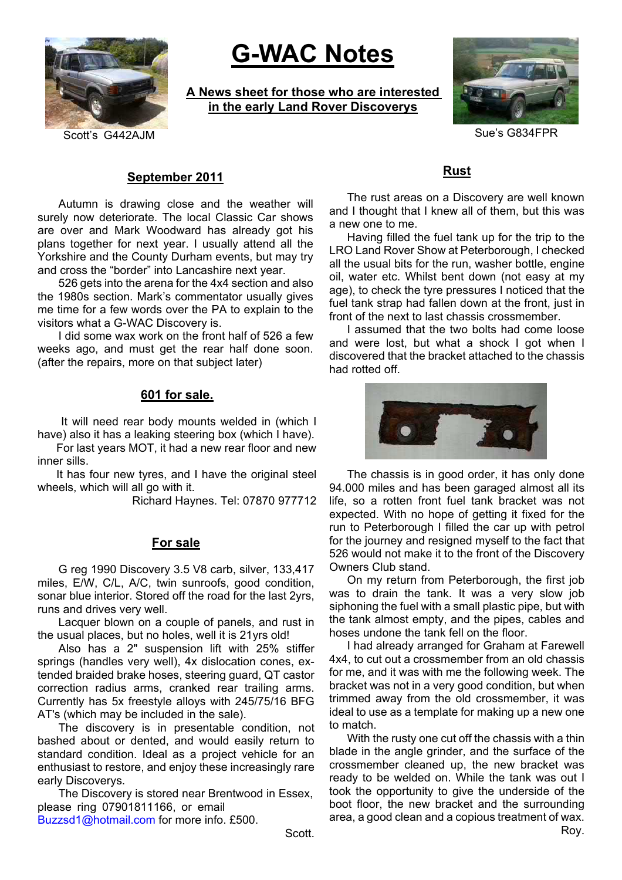

# **G-WAC Notes**

**A News sheet for those who are interested in the early Land Rover Discoverys**



Scott's G442AJM Sue's G834FPR

# **September 2011**

Autumn is drawing close and the weather will surely now deteriorate. The local Classic Car shows are over and Mark Woodward has already got his plans together for next year. I usually attend all the Yorkshire and the County Durham events, but may try and cross the "border" into Lancashire next year.

526 gets into the arena for the 4x4 section and also the 1980s section. Mark's commentator usually gives me time for a few words over the PA to explain to the visitors what a G-WAC Discovery is.

I did some wax work on the front half of 526 a few weeks ago, and must get the rear half done soon. (after the repairs, more on that subject later)

## **601 for sale.**

 It will need rear body mounts welded in (which I have) also it has a leaking steering box (which I have).

For last years MOT, it had a new rear floor and new inner sills.

It has four new tyres, and I have the original steel wheels, which will all go with it.

Richard Haynes. Tel: 07870 977712

### **For sale**

G reg 1990 Discovery 3.5 V8 carb, silver, 133,417 miles, E/W, C/L, A/C, twin sunroofs, good condition, sonar blue interior. Stored off the road for the last 2yrs, runs and drives very well.

Lacquer blown on a couple of panels, and rust in the usual places, but no holes, well it is 21yrs old!

Also has a 2" suspension lift with 25% stiffer springs (handles very well), 4x dislocation cones, extended braided brake hoses, steering guard, QT castor correction radius arms, cranked rear trailing arms. Currently has 5x freestyle alloys with 245/75/16 BFG AT's (which may be included in the sale).

The discovery is in presentable condition, not bashed about or dented, and would easily return to standard condition. Ideal as a project vehicle for an enthusiast to restore, and enjoy these increasingly rare early Discoverys.

The Discovery is stored near Brentwood in Essex, please ring 07901811166, or email

Buzzsd1@hotmail.com for more info. £500.

**Rust**

The rust areas on a Discovery are well known and I thought that I knew all of them, but this was a new one to me.

Having filled the fuel tank up for the trip to the LRO Land Rover Show at Peterborough, I checked all the usual bits for the run, washer bottle, engine oil, water etc. Whilst bent down (not easy at my age), to check the tyre pressures I noticed that the fuel tank strap had fallen down at the front, just in front of the next to last chassis crossmember.

I assumed that the two bolts had come loose and were lost, but what a shock I got when I discovered that the bracket attached to the chassis had rotted off.



The chassis is in good order, it has only done 94.000 miles and has been garaged almost all its life, so a rotten front fuel tank bracket was not expected. With no hope of getting it fixed for the run to Peterborough I filled the car up with petrol for the journey and resigned myself to the fact that 526 would not make it to the front of the Discovery Owners Club stand.

On my return from Peterborough, the first job was to drain the tank. It was a very slow job siphoning the fuel with a small plastic pipe, but with the tank almost empty, and the pipes, cables and hoses undone the tank fell on the floor.

I had already arranged for Graham at Farewell 4x4, to cut out a crossmember from an old chassis for me, and it was with me the following week. The bracket was not in a very good condition, but when trimmed away from the old crossmember, it was ideal to use as a template for making up a new one to match.

With the rusty one cut off the chassis with a thin blade in the angle grinder, and the surface of the crossmember cleaned up, the new bracket was ready to be welded on. While the tank was out I took the opportunity to give the underside of the boot floor, the new bracket and the surrounding area, a good clean and a copious treatment of wax.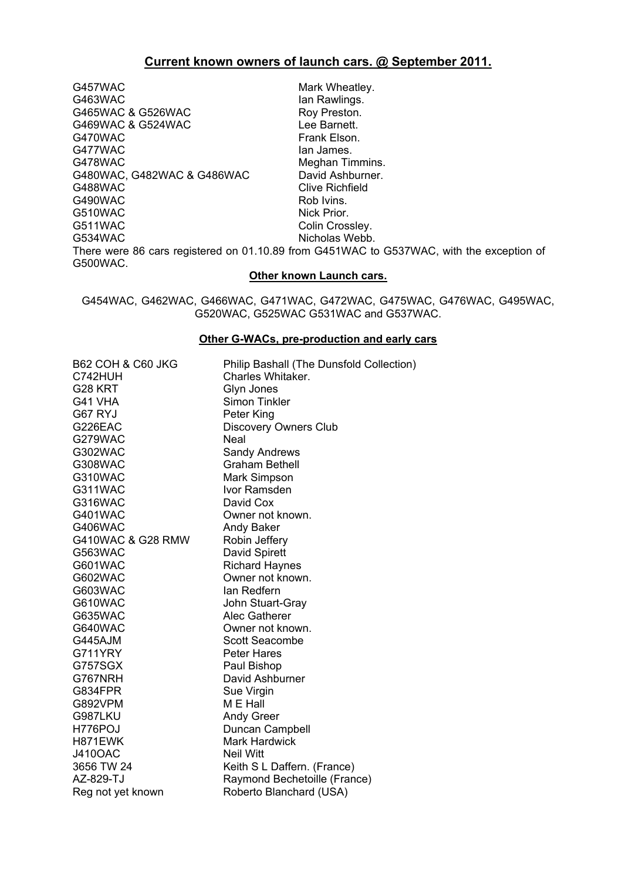# **Current known owners of launch cars. @ September 2011.**

G457WAC Mark Wheatley. G463WAC Ian Rawlings. G465WAC & G526WAC Roy Preston. G469WAC & G524WAC <br>G470WAC COMPONE CATOMAC Frank Elson. Frank Elson. G477WAC lan James. G478WAC Meghan Timmins. G480WAC, G482WAC & G486WAC David Ashburner. G488WAC Clive Richfield<br>G490WAC Clive Rob Ivins. G490WAC G510WAC Nick Prior. G511WAC Colin Crossley. G534WAC Nicholas Webb. There were 86 cars registered on 01.10.89 from G451WAC to G537WAC, with the exception of G500WAC.

#### **Other known Launch cars.**

G454WAC, G462WAC, G466WAC, G471WAC, G472WAC, G475WAC, G476WAC, G495WAC, G520WAC, G525WAC G531WAC and G537WAC.

#### **Other G-WACs, pre-production and early cars**

| <b>B62 COH &amp; C60 JKG</b> | Philip Bashall (The Dunsfold Collection) |
|------------------------------|------------------------------------------|
| C742HUH                      | Charles Whitaker.                        |
| G28 KRT                      | Glyn Jones                               |
| G41 VHA                      | <b>Simon Tinkler</b>                     |
| G67 RYJ                      | Peter King                               |
| G226EAC                      | <b>Discovery Owners Club</b>             |
| G279WAC                      | Neal                                     |
| G302WAC                      | <b>Sandy Andrews</b>                     |
| G308WAC                      | <b>Graham Bethell</b>                    |
| G310WAC                      | Mark Simpson                             |
| G311WAC                      | Ivor Ramsden                             |
| G316WAC                      | David Cox                                |
| <b>G401WAC</b>               | Owner not known.                         |
| G406WAC                      | Andy Baker                               |
| G410WAC & G28 RMW            | Robin Jeffery                            |
| G563WAC                      | David Spirett                            |
| G601WAC                      | <b>Richard Haynes</b>                    |
| G602WAC                      | Owner not known.                         |
| G603WAC                      | lan Redfern                              |
| G610WAC                      | John Stuart-Gray                         |
| G635WAC                      | Alec Gatherer                            |
| G640WAC                      | Owner not known.                         |
| G445AJM                      | <b>Scott Seacombe</b>                    |
| G711YRY                      | Peter Hares                              |
| G757SGX                      | Paul Bishop                              |
| G767NRH                      | David Ashburner                          |
| G834FPR                      | Sue Virgin                               |
| G892VPM                      | M E Hall                                 |
| G987LKU                      | <b>Andy Greer</b>                        |
| H776POJ                      | Duncan Campbell                          |
| H871EWK                      | <b>Mark Hardwick</b>                     |
| <b>J410OAC</b>               | <b>Neil Witt</b>                         |
| 3656 TW 24                   | Keith S L Daffern. (France)              |
| AZ-829-TJ                    | Raymond Bechetoille (France)             |
| Reg not yet known            | Roberto Blanchard (USA)                  |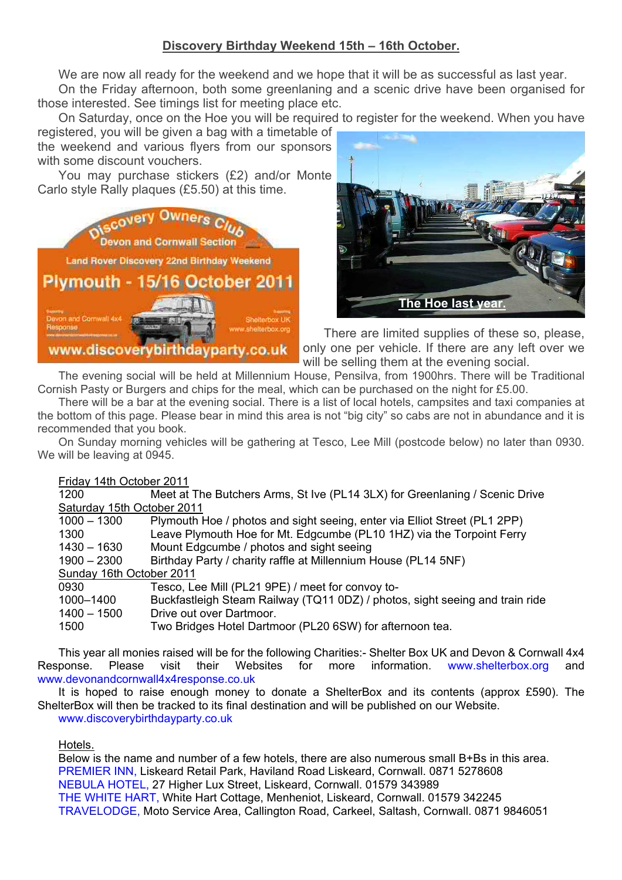# **Discovery Birthday Weekend 15th – 16th October.**

We are now all ready for the weekend and we hope that it will be as successful as last year.

On the Friday afternoon, both some greenlaning and a scenic drive have been organised for those interested. See timings list for meeting place etc.

On Saturday, once on the Hoe you will be required to register for the weekend. When you have

registered, you will be given a bag with a timetable of the weekend and various flyers from our sponsors with some discount vouchers.

You may purchase stickers (£2) and/or Monte Carlo style Rally plaques (£5.50) at this time.





There are limited supplies of these so, please, only one per vehicle. If there are any left over we will be selling them at the evening social.

The evening social will be held at Millennium House, Pensilva, from 1900hrs. There will be Traditional Cornish Pasty or Burgers and chips for the meal, which can be purchased on the night for £5.00.

There will be a bar at the evening social. There is a list of local hotels, campsites and taxi companies at the bottom of this page. Please bear in mind this area is not "big city" so cabs are not in abundance and it is recommended that you book.

On Sunday morning vehicles will be gathering at Tesco, Lee Mill (postcode below) no later than 0930. We will be leaving at 0945.

# Friday 14th October 2011

| 1200                       | Meet at The Butchers Arms, St Ive (PL14 3LX) for Greenlaning / Scenic Drive  |  |  |
|----------------------------|------------------------------------------------------------------------------|--|--|
| Saturday 15th October 2011 |                                                                              |  |  |
| $1000 - 1300$              | Plymouth Hoe / photos and sight seeing, enter via Elliot Street (PL1 2PP)    |  |  |
| 1300                       | Leave Plymouth Hoe for Mt. Edgcumbe (PL10 1HZ) via the Torpoint Ferry        |  |  |
| 1430 – 1630                | Mount Edgcumbe / photos and sight seeing                                     |  |  |
| $1900 - 2300$              | Birthday Party / charity raffle at Millennium House (PL14 5NF)               |  |  |
| Sunday 16th October 2011   |                                                                              |  |  |
| 0930                       | Tesco, Lee Mill (PL21 9PE) / meet for convoy to-                             |  |  |
| 1000-1400                  | Buckfastleigh Steam Railway (TQ11 0DZ) / photos, sight seeing and train ride |  |  |
| $1400 - 1500$              | Drive out over Dartmoor.                                                     |  |  |
| 1500                       | Two Bridges Hotel Dartmoor (PL20 6SW) for afternoon tea.                     |  |  |

This year all monies raised will be for the following Charities:- Shelter Box UK and Devon & Cornwall 4x4 Response. Please visit their Websites for more information. www.shelterbox.org and www.devonandcornwall4x4response.co.uk

It is hoped to raise enough money to donate a ShelterBox and its contents (approx £590). The ShelterBox will then be tracked to its final destination and will be published on our Website. www.discoverybirthdayparty.co.uk

# Hotels.

Below is the name and number of a few hotels, there are also numerous small B+Bs in this area. PREMIER INN, Liskeard Retail Park, Haviland Road Liskeard, Cornwall. 0871 5278608 NEBULA HOTEL, 27 Higher Lux Street, Liskeard, Cornwall. 01579 343989 THE WHITE HART, White Hart Cottage, Menheniot, Liskeard, Cornwall. 01579 342245 TRAVELODGE, Moto Service Area, Callington Road, Carkeel, Saltash, Cornwall. 0871 9846051